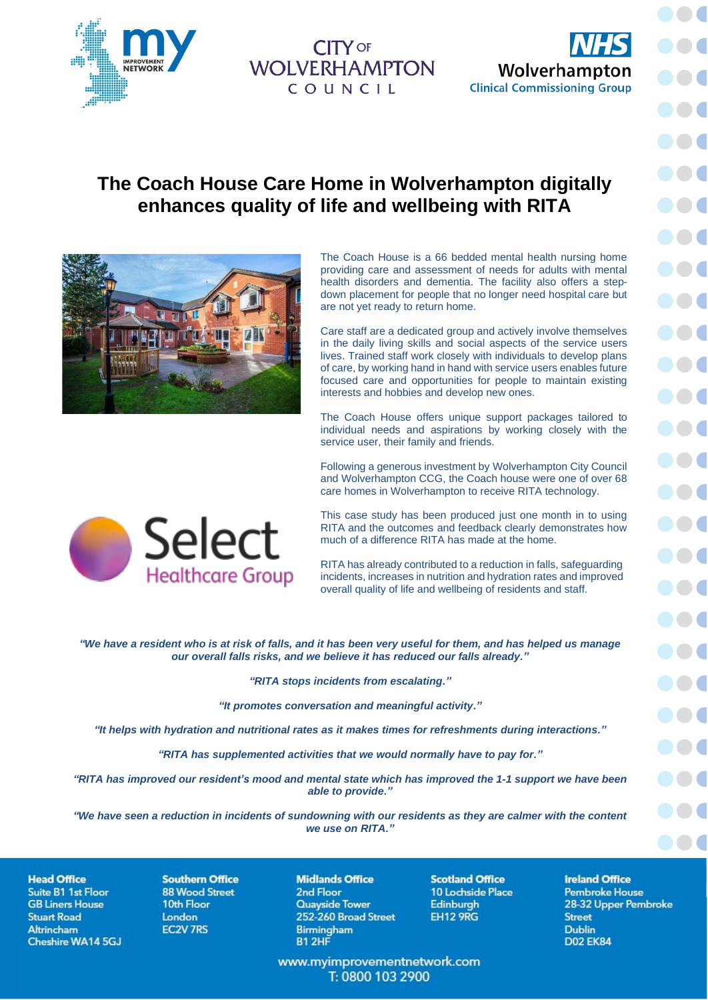

**WOLVERHAMPTON** COUNCIL



## **The Coach House Care Home in Wolverhampton digitally enhances quality of life and wellbeing with RITA**



**Select** 

**Healthcare Group** 

The Coach House is a 66 bedded mental health nursing home providing care and assessment of needs for adults with mental health disorders and dementia. The facility also offers a stepdown placement for people that no longer need hospital care but are not yet ready to return home.

Care staff are a dedicated group and actively involve themselves in the daily living skills and social aspects of the service users lives. Trained staff work closely with individuals to develop plans of care, by working hand in hand with service users enables future focused care and opportunities for people to maintain existing interests and hobbies and develop new ones.

The Coach House offers unique support packages tailored to individual needs and aspirations by working closely with the service user, their family and friends.

Following a generous investment by Wolverhampton City Council and Wolverhampton CCG, the Coach house were one of over 68 care homes in Wolverhampton to receive RITA technology.

This case study has been produced just one month in to using RITA and the outcomes and feedback clearly demonstrates how much of a difference RITA has made at the home.

RITA has already contributed to a reduction in falls, safeguarding incidents, increases in nutrition and hydration rates and improved overall quality of life and wellbeing of residents and staff.

*"We have a resident who is at risk of falls, and it has been very useful for them, and has helped us manage our overall falls risks, and we believe it has reduced our falls already."*

*"RITA stops incidents from escalating."*

*"It promotes conversation and meaningful activity."*

*"It helps with hydration and nutritional rates as it makes times for refreshments during interactions."*

*"RITA has supplemented activities that we would normally have to pay for."*

*"RITA has improved our resident's mood and mental state which has improved the 1-1 support we have been able to provide."*

*"We have seen a reduction in incidents of sundowning with our residents as they are calmer with the content we use on RITA."*

**Head Office** Suite B1 1st Floor **GB Liners House Stuart Road** Altrincham Cheshire WA14 5GJ

**Southern Office 88 Wood Street** 10th Floor London **EC2V 7RS** 

**Midlands Office** 2nd Floor Quavside Tower 252-260 Broad Street **Birmingham** B1 2HF

www.myimprovementnetwork.com T: 0800 103 2900

**Scotland Office** 10 Lochside Place **Edinburgh EH12 9RG** 

**Ireland Office Pembroke House** 28-32 Upper Pembroke **Street Dublin D02 EK84**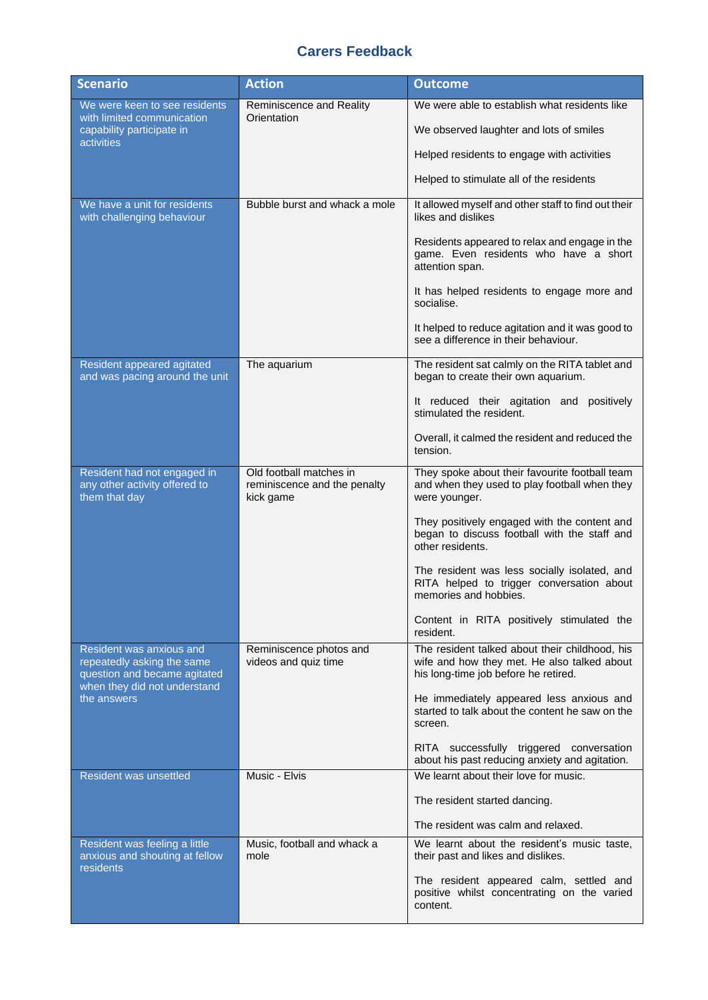## **Carers Feedback**

| <b>Scenario</b>                                                                                                                       | <b>Action</b>                                                        | <b>Outcome</b>                                                                                                                        |
|---------------------------------------------------------------------------------------------------------------------------------------|----------------------------------------------------------------------|---------------------------------------------------------------------------------------------------------------------------------------|
| We were keen to see residents<br>with limited communication<br>capability participate in<br><b>activities</b>                         | Reminiscence and Reality<br>Orientation                              | We were able to establish what residents like                                                                                         |
|                                                                                                                                       |                                                                      | We observed laughter and lots of smiles                                                                                               |
|                                                                                                                                       |                                                                      | Helped residents to engage with activities                                                                                            |
|                                                                                                                                       |                                                                      | Helped to stimulate all of the residents                                                                                              |
| We have a unit for residents<br>with challenging behaviour                                                                            | Bubble burst and whack a mole                                        | It allowed myself and other staff to find out their<br>likes and dislikes                                                             |
|                                                                                                                                       |                                                                      | Residents appeared to relax and engage in the<br>game. Even residents who have a short<br>attention span.                             |
|                                                                                                                                       |                                                                      | It has helped residents to engage more and<br>socialise.                                                                              |
|                                                                                                                                       |                                                                      | It helped to reduce agitation and it was good to<br>see a difference in their behaviour.                                              |
| Resident appeared agitated<br>and was pacing around the unit                                                                          | The aquarium                                                         | The resident sat calmly on the RITA tablet and<br>began to create their own aquarium.                                                 |
|                                                                                                                                       |                                                                      | It reduced their agitation and positively<br>stimulated the resident.                                                                 |
|                                                                                                                                       |                                                                      | Overall, it calmed the resident and reduced the<br>tension.                                                                           |
| Resident had not engaged in<br>any other activity offered to<br>them that day                                                         | Old football matches in<br>reminiscence and the penalty<br>kick game | They spoke about their favourite football team<br>and when they used to play football when they<br>were younger.                      |
|                                                                                                                                       |                                                                      | They positively engaged with the content and<br>began to discuss football with the staff and<br>other residents.                      |
|                                                                                                                                       |                                                                      | The resident was less socially isolated, and<br>RITA helped to trigger conversation about<br>memories and hobbies.                    |
|                                                                                                                                       |                                                                      | Content in RITA positively stimulated the<br>resident.                                                                                |
| Resident was anxious and<br>repeatedly asking the same<br>question and became agitated<br>when they did not understand<br>the answers | Reminiscence photos and<br>videos and quiz time                      | The resident talked about their childhood, his<br>wife and how they met. He also talked about<br>his long-time job before he retired. |
|                                                                                                                                       |                                                                      | He immediately appeared less anxious and<br>started to talk about the content he saw on the<br>screen.                                |
|                                                                                                                                       |                                                                      | RITA successfully triggered conversation<br>about his past reducing anxiety and agitation.                                            |
| <b>Resident was unsettled</b>                                                                                                         | Music - Elvis                                                        | We learnt about their love for music.                                                                                                 |
|                                                                                                                                       |                                                                      | The resident started dancing.                                                                                                         |
|                                                                                                                                       |                                                                      | The resident was calm and relaxed.                                                                                                    |
| Resident was feeling a little<br>anxious and shouting at fellow<br>residents                                                          | Music, football and whack a<br>mole                                  | We learnt about the resident's music taste,<br>their past and likes and dislikes.                                                     |
|                                                                                                                                       |                                                                      | The resident appeared calm, settled and<br>positive whilst concentrating on the varied<br>content.                                    |